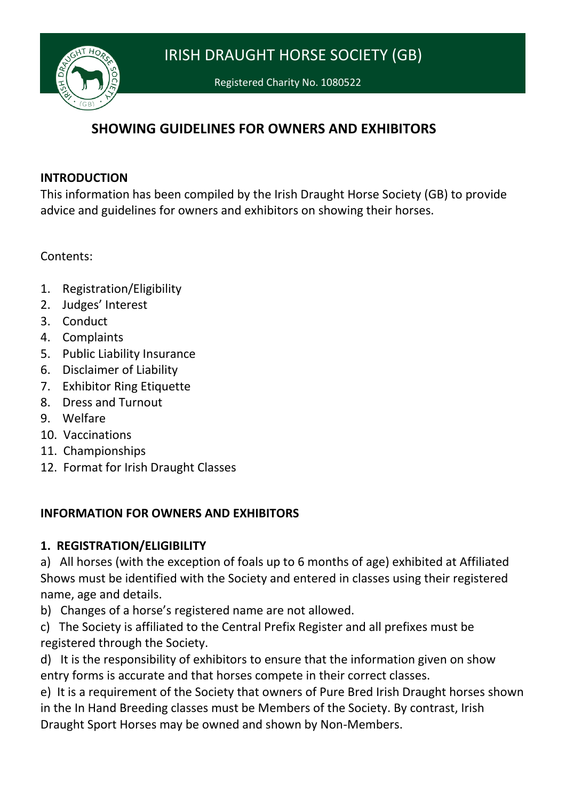

Registered Charity No. 1080522

# **SHOWING GUIDELINES FOR OWNERS AND EXHIBITORS**

#### **INTRODUCTION**

This information has been compiled by the Irish Draught Horse Society (GB) to provide advice and guidelines for owners and exhibitors on showing their horses.

Contents:

- 1. Registration/Eligibility
- 2. Judges' Interest
- 3. Conduct
- 4. Complaints
- 5. Public Liability Insurance
- 6. Disclaimer of Liability
- 7. Exhibitor Ring Etiquette
- 8. Dress and Turnout
- 9. Welfare
- 10. Vaccinations
- 11. Championships
- 12. Format for Irish Draught Classes

#### **INFORMATION FOR OWNERS AND EXHIBITORS**

#### **1. REGISTRATION/ELIGIBILITY**

a) All horses (with the exception of foals up to 6 months of age) exhibited at Affiliated Shows must be identified with the Society and entered in classes using their registered name, age and details.

b) Changes of a horse's registered name are not allowed.

c) The Society is affiliated to the Central Prefix Register and all prefixes must be registered through the Society.

d) It is the responsibility of exhibitors to ensure that the information given on show entry forms is accurate and that horses compete in their correct classes.

e) It is a requirement of the Society that owners of Pure Bred Irish Draught horses shown in the In Hand Breeding classes must be Members of the Society. By contrast, Irish Draught Sport Horses may be owned and shown by Non-Members.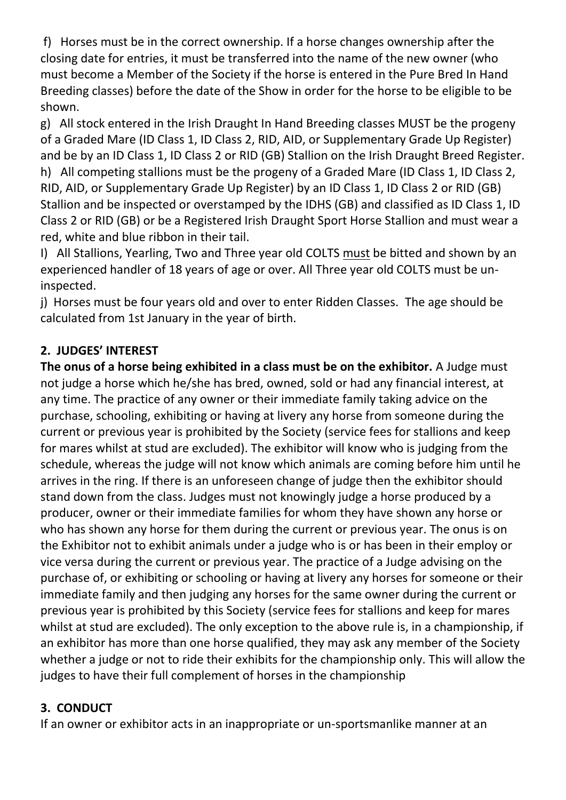f) Horses must be in the correct ownership. If a horse changes ownership after the closing date for entries, it must be transferred into the name of the new owner (who must become a Member of the Society if the horse is entered in the Pure Bred In Hand Breeding classes) before the date of the Show in order for the horse to be eligible to be shown.

g) All stock entered in the Irish Draught In Hand Breeding classes MUST be the progeny of a Graded Mare (ID Class 1, ID Class 2, RID, AID, or Supplementary Grade Up Register) and be by an ID Class 1, ID Class 2 or RID (GB) Stallion on the Irish Draught Breed Register. h) All competing stallions must be the progeny of a Graded Mare (ID Class 1, ID Class 2, RID, AID, or Supplementary Grade Up Register) by an ID Class 1, ID Class 2 or RID (GB) Stallion and be inspected or overstamped by the IDHS (GB) and classified as ID Class 1, ID Class 2 or RID (GB) or be a Registered Irish Draught Sport Horse Stallion and must wear a

red, white and blue ribbon in their tail.

I) All Stallions, Yearling, Two and Three year old COLTS must be bitted and shown by an experienced handler of 18 years of age or over. All Three year old COLTS must be uninspected.

j) Horses must be four years old and over to enter Ridden Classes. The age should be calculated from 1st January in the year of birth.

## **2. JUDGES' INTEREST**

**The onus of a horse being exhibited in a class must be on the exhibitor.** A Judge must not judge a horse which he/she has bred, owned, sold or had any financial interest, at any time. The practice of any owner or their immediate family taking advice on the purchase, schooling, exhibiting or having at livery any horse from someone during the current or previous year is prohibited by the Society (service fees for stallions and keep for mares whilst at stud are excluded). The exhibitor will know who is judging from the schedule, whereas the judge will not know which animals are coming before him until he arrives in the ring. If there is an unforeseen change of judge then the exhibitor should stand down from the class. Judges must not knowingly judge a horse produced by a producer, owner or their immediate families for whom they have shown any horse or who has shown any horse for them during the current or previous year. The onus is on the Exhibitor not to exhibit animals under a judge who is or has been in their employ or vice versa during the current or previous year. The practice of a Judge advising on the purchase of, or exhibiting or schooling or having at livery any horses for someone or their immediate family and then judging any horses for the same owner during the current or previous year is prohibited by this Society (service fees for stallions and keep for mares whilst at stud are excluded). The only exception to the above rule is, in a championship, if an exhibitor has more than one horse qualified, they may ask any member of the Society whether a judge or not to ride their exhibits for the championship only. This will allow the judges to have their full complement of horses in the championship

## **3. CONDUCT**

If an owner or exhibitor acts in an inappropriate or un-sportsmanlike manner at an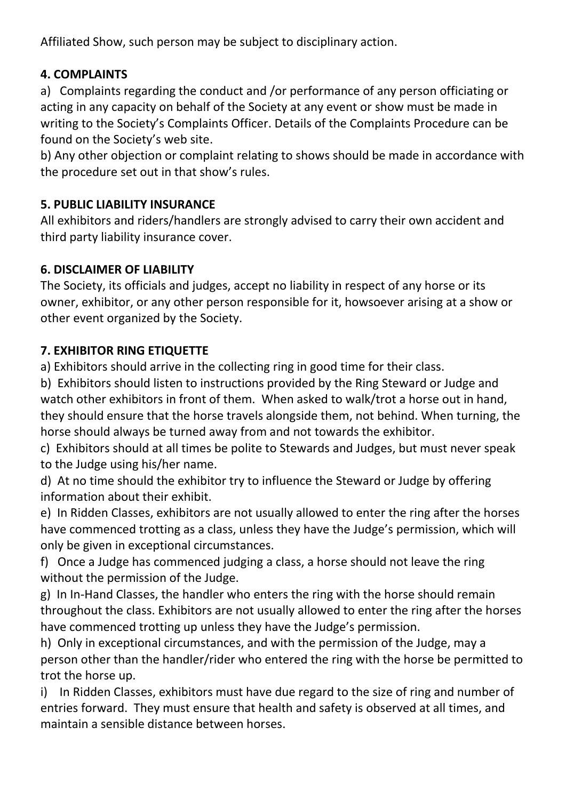Affiliated Show, such person may be subject to disciplinary action.

## **4. COMPLAINTS**

a) Complaints regarding the conduct and /or performance of any person officiating or acting in any capacity on behalf of the Society at any event or show must be made in writing to the Society's Complaints Officer. Details of the Complaints Procedure can be found on the Society's web site.

b) Any other objection or complaint relating to shows should be made in accordance with the procedure set out in that show's rules.

## **5. PUBLIC LIABILITY INSURANCE**

All exhibitors and riders/handlers are strongly advised to carry their own accident and third party liability insurance cover.

### **6. DISCLAIMER OF LIABILITY**

The Society, its officials and judges, accept no liability in respect of any horse or its owner, exhibitor, or any other person responsible for it, howsoever arising at a show or other event organized by the Society.

### **7. EXHIBITOR RING ETIQUETTE**

a) Exhibitors should arrive in the collecting ring in good time for their class.

b) Exhibitors should listen to instructions provided by the Ring Steward or Judge and watch other exhibitors in front of them. When asked to walk/trot a horse out in hand, they should ensure that the horse travels alongside them, not behind. When turning, the horse should always be turned away from and not towards the exhibitor.

c) Exhibitors should at all times be polite to Stewards and Judges, but must never speak to the Judge using his/her name.

d) At no time should the exhibitor try to influence the Steward or Judge by offering information about their exhibit.

e) In Ridden Classes, exhibitors are not usually allowed to enter the ring after the horses have commenced trotting as a class, unless they have the Judge's permission, which will only be given in exceptional circumstances.

f) Once a Judge has commenced judging a class, a horse should not leave the ring without the permission of the Judge.

g) In In-Hand Classes, the handler who enters the ring with the horse should remain throughout the class. Exhibitors are not usually allowed to enter the ring after the horses have commenced trotting up unless they have the Judge's permission.

h) Only in exceptional circumstances, and with the permission of the Judge, may a person other than the handler/rider who entered the ring with the horse be permitted to trot the horse up.

i) In Ridden Classes, exhibitors must have due regard to the size of ring and number of entries forward. They must ensure that health and safety is observed at all times, and maintain a sensible distance between horses.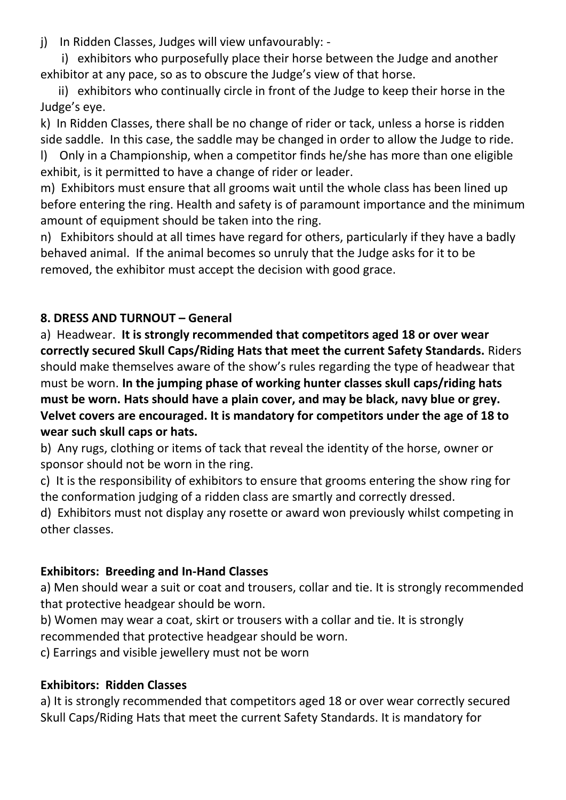j) In Ridden Classes, Judges will view unfavourably: -

 i) exhibitors who purposefully place their horse between the Judge and another exhibitor at any pace, so as to obscure the Judge's view of that horse.

 ii) exhibitors who continually circle in front of the Judge to keep their horse in the Judge's eye.

k) In Ridden Classes, there shall be no change of rider or tack, unless a horse is ridden side saddle. In this case, the saddle may be changed in order to allow the Judge to ride. l) Only in a Championship, when a competitor finds he/she has more than one eligible exhibit, is it permitted to have a change of rider or leader.

m) Exhibitors must ensure that all grooms wait until the whole class has been lined up before entering the ring. Health and safety is of paramount importance and the minimum amount of equipment should be taken into the ring.

n) Exhibitors should at all times have regard for others, particularly if they have a badly behaved animal. If the animal becomes so unruly that the Judge asks for it to be removed, the exhibitor must accept the decision with good grace.

### **8. DRESS AND TURNOUT – General**

a) Headwear. **It is strongly recommended that competitors aged 18 or over wear correctly secured Skull Caps/Riding Hats that meet the current Safety Standards.** Riders should make themselves aware of the show's rules regarding the type of headwear that must be worn. **In the jumping phase of working hunter classes skull caps/riding hats must be worn. Hats should have a plain cover, and may be black, navy blue or grey. Velvet covers are encouraged. It is mandatory for competitors under the age of 18 to wear such skull caps or hats.**

b) Any rugs, clothing or items of tack that reveal the identity of the horse, owner or sponsor should not be worn in the ring.

c) It is the responsibility of exhibitors to ensure that grooms entering the show ring for the conformation judging of a ridden class are smartly and correctly dressed.

d) Exhibitors must not display any rosette or award won previously whilst competing in other classes.

#### **Exhibitors: Breeding and In-Hand Classes**

a) Men should wear a suit or coat and trousers, collar and tie. It is strongly recommended that protective headgear should be worn.

b) Women may wear a coat, skirt or trousers with a collar and tie. It is strongly recommended that protective headgear should be worn.

c) Earrings and visible jewellery must not be worn

#### **Exhibitors: Ridden Classes**

a) It is strongly recommended that competitors aged 18 or over wear correctly secured Skull Caps/Riding Hats that meet the current Safety Standards. It is mandatory for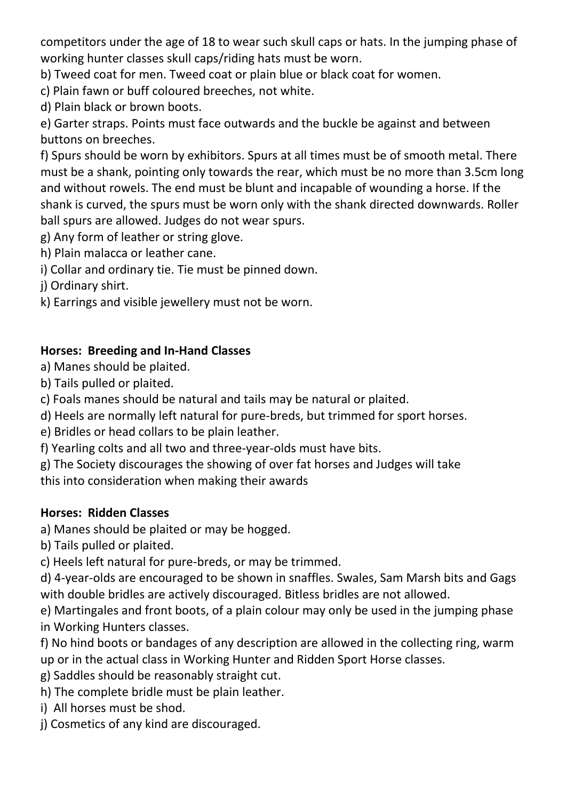competitors under the age of 18 to wear such skull caps or hats. In the jumping phase of working hunter classes skull caps/riding hats must be worn.

b) Tweed coat for men. Tweed coat or plain blue or black coat for women.

c) Plain fawn or buff coloured breeches, not white.

d) Plain black or brown boots.

e) Garter straps. Points must face outwards and the buckle be against and between buttons on breeches.

f) Spurs should be worn by exhibitors. Spurs at all times must be of smooth metal. There must be a shank, pointing only towards the rear, which must be no more than 3.5cm long and without rowels. The end must be blunt and incapable of wounding a horse. If the shank is curved, the spurs must be worn only with the shank directed downwards. Roller ball spurs are allowed. Judges do not wear spurs.

g) Any form of leather or string glove.

h) Plain malacca or leather cane.

i) Collar and ordinary tie. Tie must be pinned down.

j) Ordinary shirt.

k) Earrings and visible jewellery must not be worn.

### **Horses: Breeding and In-Hand Classes**

a) Manes should be plaited.

b) Tails pulled or plaited.

c) Foals manes should be natural and tails may be natural or plaited.

d) Heels are normally left natural for pure-breds, but trimmed for sport horses.

e) Bridles or head collars to be plain leather.

f) Yearling colts and all two and three-year-olds must have bits.

g) The Society discourages the showing of over fat horses and Judges will take

this into consideration when making their awards

## **Horses: Ridden Classes**

a) Manes should be plaited or may be hogged.

b) Tails pulled or plaited.

c) Heels left natural for pure-breds, or may be trimmed.

d) 4-year-olds are encouraged to be shown in snaffles. Swales, Sam Marsh bits and Gags with double bridles are actively discouraged. Bitless bridles are not allowed.

e) Martingales and front boots, of a plain colour may only be used in the jumping phase in Working Hunters classes.

f) No hind boots or bandages of any description are allowed in the collecting ring, warm up or in the actual class in Working Hunter and Ridden Sport Horse classes.

g) Saddles should be reasonably straight cut.

- h) The complete bridle must be plain leather.
- i) All horses must be shod.
- j) Cosmetics of any kind are discouraged.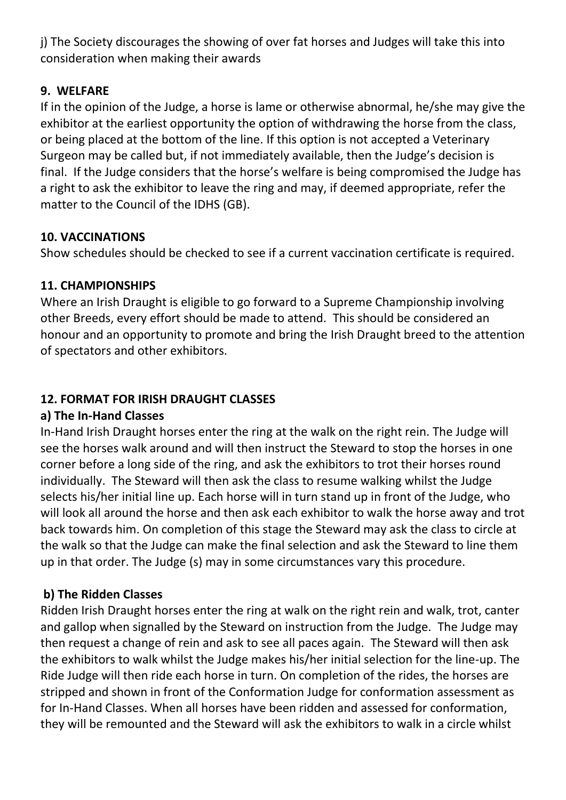j) The Society discourages the showing of over fat horses and Judges will take this into consideration when making their awards

#### **9. WELFARE**

If in the opinion of the Judge, a horse is lame or otherwise abnormal, he/she may give the exhibitor at the earliest opportunity the option of withdrawing the horse from the class, or being placed at the bottom of the line. If this option is not accepted a Veterinary Surgeon may be called but, if not immediately available, then the Judge's decision is final. If the Judge considers that the horse's welfare is being compromised the Judge has a right to ask the exhibitor to leave the ring and may, if deemed appropriate, refer the matter to the Council of the IDHS (GB).

#### **10. VACCINATIONS**

Show schedules should be checked to see if a current vaccination certificate is required.

### **11. CHAMPIONSHIPS**

Where an Irish Draught is eligible to go forward to a Supreme Championship involving other Breeds, every effort should be made to attend. This should be considered an honour and an opportunity to promote and bring the Irish Draught breed to the attention of spectators and other exhibitors.

## **12. FORMAT FOR IRISH DRAUGHT CLASSES**

#### **a) The In-Hand Classes**

In-Hand Irish Draught horses enter the ring at the walk on the right rein. The Judge will see the horses walk around and will then instruct the Steward to stop the horses in one corner before a long side of the ring, and ask the exhibitors to trot their horses round individually. The Steward will then ask the class to resume walking whilst the Judge selects his/her initial line up. Each horse will in turn stand up in front of the Judge, who will look all around the horse and then ask each exhibitor to walk the horse away and trot back towards him. On completion of this stage the Steward may ask the class to circle at the walk so that the Judge can make the final selection and ask the Steward to line them up in that order. The Judge (s) may in some circumstances vary this procedure.

## **b) The Ridden Classes**

Ridden Irish Draught horses enter the ring at walk on the right rein and walk, trot, canter and gallop when signalled by the Steward on instruction from the Judge. The Judge may then request a change of rein and ask to see all paces again. The Steward will then ask the exhibitors to walk whilst the Judge makes his/her initial selection for the line-up. The Ride Judge will then ride each horse in turn. On completion of the rides, the horses are stripped and shown in front of the Conformation Judge for conformation assessment as for In-Hand Classes. When all horses have been ridden and assessed for conformation, they will be remounted and the Steward will ask the exhibitors to walk in a circle whilst